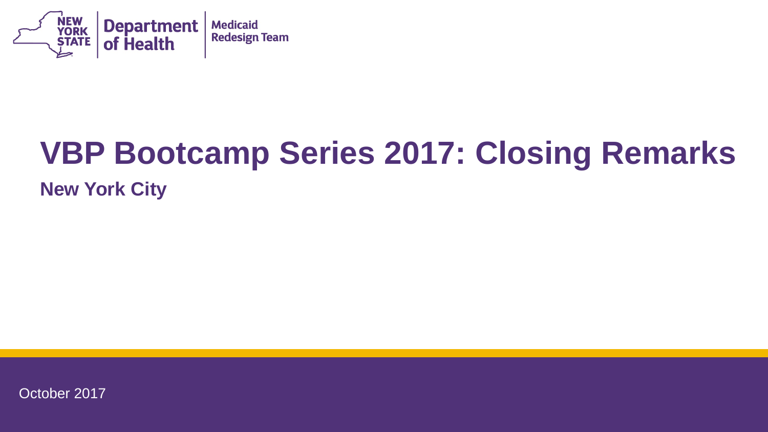

# **VBP Bootcamp Series 2017: Closing Remarks**

#### **New York City**

October 2017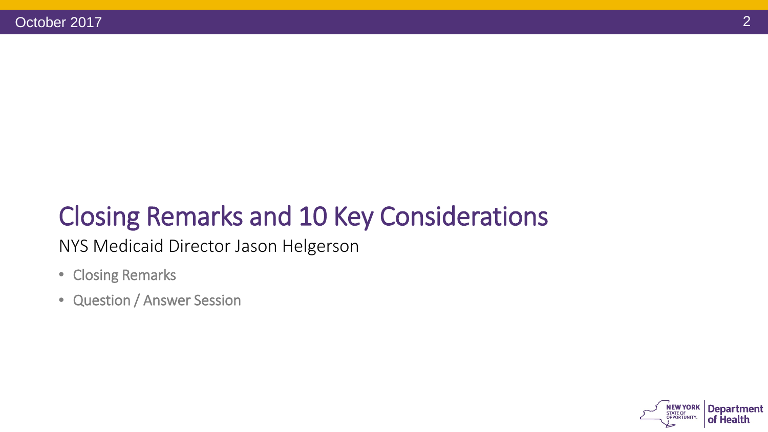# Closing Remarks and 10 Key Considerations

NYS Medicaid Director Jason Helgerson

- Closing Remarks
- Question / Answer Session

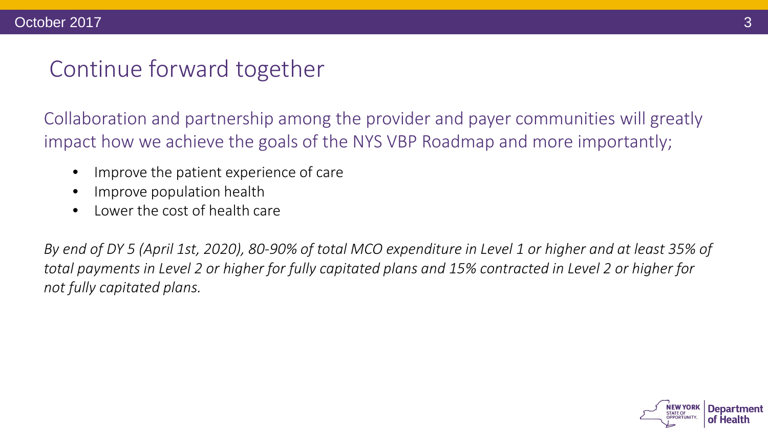#### Continue forward together

Collaboration and partnership among the provider and payer communities will greatly impact how we achieve the goals of the NYS VBP Roadmap and more importantly;

- Improve the patient experience of care
- Improve population health
- Lower the cost of health care

*By end of DY 5 (April 1st, 2020), 80-90% of total MCO expenditure in Level 1 or higher and at least 35% of total payments in Level 2 or higher for fully capitated plans and 15% contracted in Level 2 or higher for not fully capitated plans.*

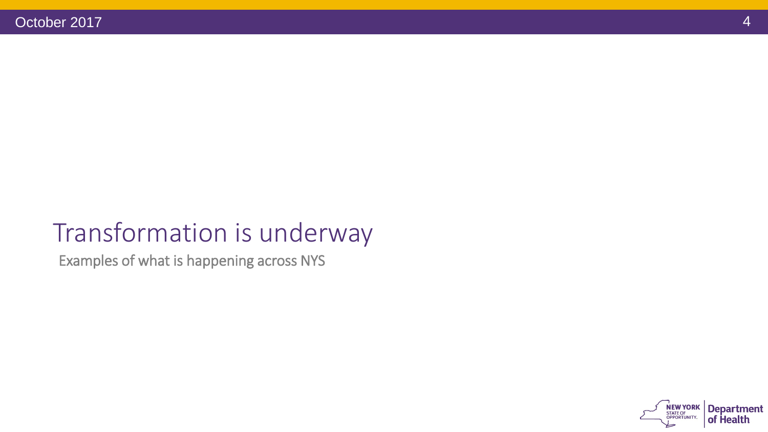## Transformation is underway

Examples of what is happening across NYS

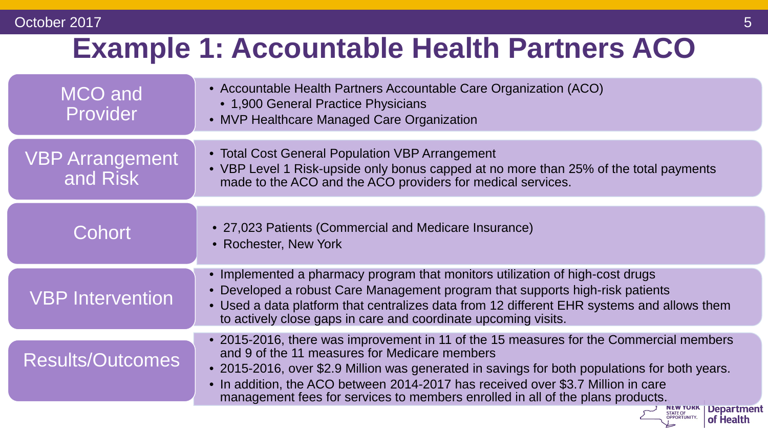#### October 2017 **10/19/2017 10:00:00 10:00:00 10:00:00 10:00:00 10:00:00 10:00:00 10:00:00 10:00:00 10:00:00 10:00**

# **Example 1: Accountable Health Partners ACO**

| <b>MCO</b> and<br>Provider         | • Accountable Health Partners Accountable Care Organization (ACO)<br>• 1,900 General Practice Physicians<br>• MVP Healthcare Managed Care Organization                                                                                                                                                                                                                                                         |
|------------------------------------|----------------------------------------------------------------------------------------------------------------------------------------------------------------------------------------------------------------------------------------------------------------------------------------------------------------------------------------------------------------------------------------------------------------|
| <b>VBP Arrangement</b><br>and Risk | • Total Cost General Population VBP Arrangement<br>• VBP Level 1 Risk-upside only bonus capped at no more than 25% of the total payments<br>made to the ACO and the ACO providers for medical services.                                                                                                                                                                                                        |
| Cohort                             | • 27,023 Patients (Commercial and Medicare Insurance)<br>• Rochester, New York                                                                                                                                                                                                                                                                                                                                 |
| <b>VBP Intervention</b>            | • Implemented a pharmacy program that monitors utilization of high-cost drugs<br>• Developed a robust Care Management program that supports high-risk patients<br>• Used a data platform that centralizes data from 12 different EHR systems and allows them<br>to actively close gaps in care and coordinate upcoming visits.                                                                                 |
| <b>Results/Outcomes</b>            | • 2015-2016, there was improvement in 11 of the 15 measures for the Commercial members<br>and 9 of the 11 measures for Medicare members<br>• 2015-2016, over \$2.9 Million was generated in savings for both populations for both years.<br>• In addition, the ACO between 2014-2017 has received over \$3.7 Million in care<br>management fees for services to members enrolled in all of the plans products. |
|                                    | of Health                                                                                                                                                                                                                                                                                                                                                                                                      |

| of Health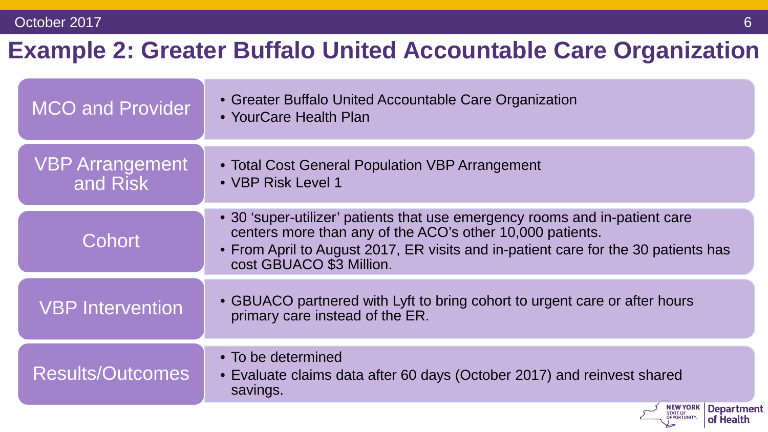## **Example 2: Greater Buffalo United Accountable Care Organization**

| <b>MCO and Provider</b>            | • Greater Buffalo United Accountable Care Organization<br>• YourCare Health Plan                                                                                                                                                                           |
|------------------------------------|------------------------------------------------------------------------------------------------------------------------------------------------------------------------------------------------------------------------------------------------------------|
| <b>VBP Arrangement</b><br>and Risk | • Total Cost General Population VBP Arrangement<br>• VBP Risk Level 1                                                                                                                                                                                      |
| Cohort                             | • 30 'super-utilizer' patients that use emergency rooms and in-patient care<br>centers more than any of the ACO's other 10,000 patients.<br>• From April to August 2017, ER visits and in-patient care for the 30 patients has<br>cost GBUACO \$3 Million. |
| <b>VBP Intervention</b>            | • GBUACO partnered with Lyft to bring cohort to urgent care or after hours<br>primary care instead of the ER.                                                                                                                                              |
| <b>Results/Outcomes</b>            | • To be determined<br>• Evaluate claims data after 60 days (October 2017) and reinvest shared<br>savings.                                                                                                                                                  |
|                                    | <b>Departmen</b><br><b>OPPORTUNITY.</b><br>of Health                                                                                                                                                                                                       |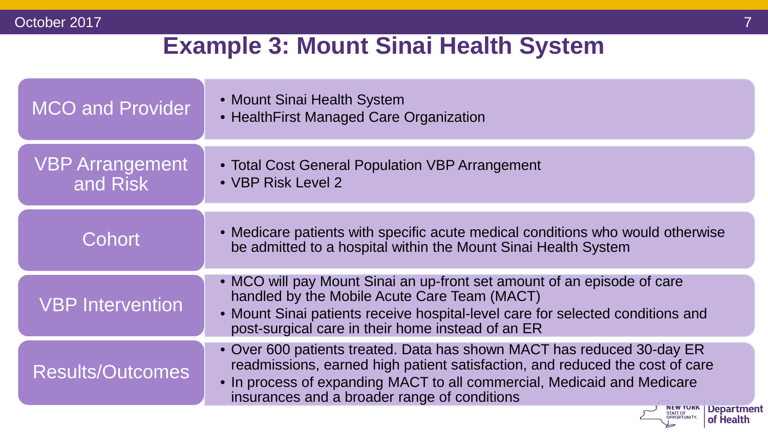#### **Example 3: Mount Sinai Health System**

| <b>MCO and Provider</b>            | • Mount Sinai Health System<br>• HealthFirst Managed Care Organization                                                                                                                                                                                                            |
|------------------------------------|-----------------------------------------------------------------------------------------------------------------------------------------------------------------------------------------------------------------------------------------------------------------------------------|
| <b>VBP Arrangement</b><br>and Risk | • Total Cost General Population VBP Arrangement<br>• VBP Risk Level 2                                                                                                                                                                                                             |
| Cohort                             | • Medicare patients with specific acute medical conditions who would otherwise<br>be admitted to a hospital within the Mount Sinai Health System                                                                                                                                  |
| <b>VBP Intervention</b>            | • MCO will pay Mount Sinai an up-front set amount of an episode of care<br>handled by the Mobile Acute Care Team (MACT)<br>• Mount Sinai patients receive hospital-level care for selected conditions and<br>post-surgical care in their home instead of an ER                    |
| <b>Results/Outcomes</b>            | • Over 600 patients treated. Data has shown MACT has reduced 30-day ER<br>readmissions, earned high patient satisfaction, and reduced the cost of care<br>• In process of expanding MACT to all commercial, Medicaid and Medicare<br>insurances and a broader range of conditions |
|                                    | <b>Department</b><br>of Health                                                                                                                                                                                                                                                    |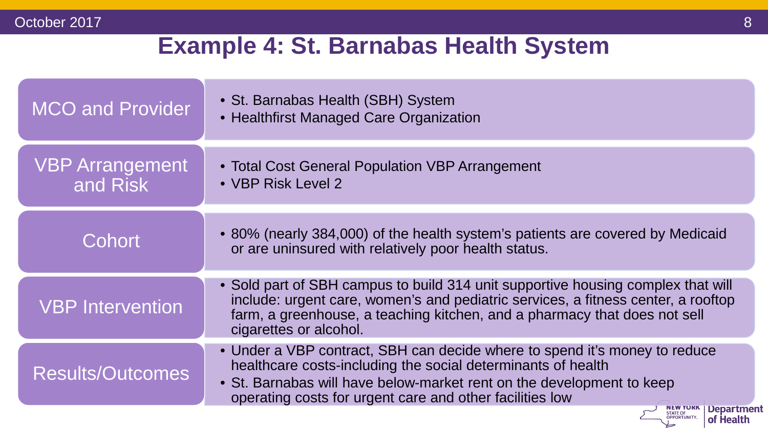#### **Example 4: St. Barnabas Health System**

| <b>MCO and Provider</b>            | • St. Barnabas Health (SBH) System<br>• Healthfirst Managed Care Organization                                                                                                                                                                                                   |
|------------------------------------|---------------------------------------------------------------------------------------------------------------------------------------------------------------------------------------------------------------------------------------------------------------------------------|
| <b>VBP Arrangement</b><br>and Risk | • Total Cost General Population VBP Arrangement<br>• VBP Risk Level 2                                                                                                                                                                                                           |
| Cohort                             | • 80% (nearly 384,000) of the health system's patients are covered by Medicaid<br>or are uninsured with relatively poor health status.                                                                                                                                          |
| <b>VBP Intervention</b>            | • Sold part of SBH campus to build 314 unit supportive housing complex that will<br>include: urgent care, women's and pediatric services, a fitness center, a rooftop<br>farm, a greenhouse, a teaching kitchen, and a pharmacy that does not sell<br>cigarettes or alcohol.    |
| <b>Results/Outcomes</b>            | • Under a VBP contract, SBH can decide where to spend it's money to reduce<br>healthcare costs-including the social determinants of health<br>• St. Barnabas will have below-market rent on the development to keep<br>operating costs for urgent care and other facilities low |
|                                    | <b>NEW YORK   Department</b><br>STATE OF<br>OPPORTUNITY.<br>of Health                                                                                                                                                                                                           |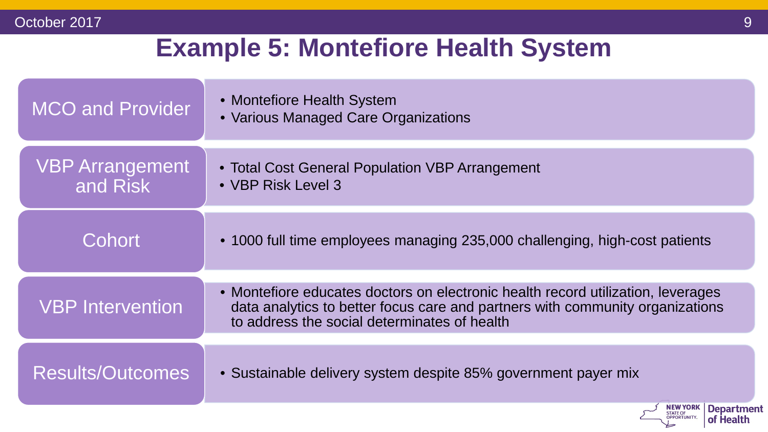## **Example 5: Montefiore Health System**

| <b>MCO and Provider</b>            | • Montefiore Health System<br>• Various Managed Care Organizations                                                                                                                                                |
|------------------------------------|-------------------------------------------------------------------------------------------------------------------------------------------------------------------------------------------------------------------|
| <b>VBP Arrangement</b><br>and Risk | • Total Cost General Population VBP Arrangement<br>• VBP Risk Level 3                                                                                                                                             |
| Cohort                             | • 1000 full time employees managing 235,000 challenging, high-cost patients                                                                                                                                       |
| <b>VBP Intervention</b>            | • Montefiore educates doctors on electronic health record utilization, leverages<br>data analytics to better focus care and partners with community organizations<br>to address the social determinates of health |
| <b>Results/Outcomes</b>            | • Sustainable delivery system despite 85% government payer mix                                                                                                                                                    |
|                                    | <b>NEW YORK</b><br><b>Department</b><br>STATE OF<br>OPPORTUNITY.<br>of Health                                                                                                                                     |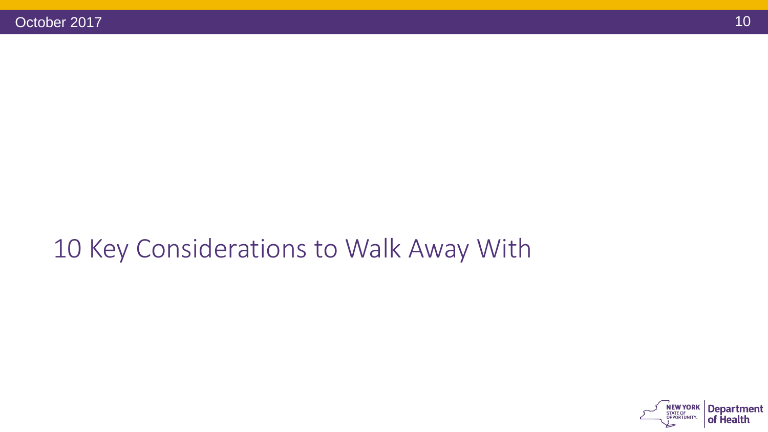## 10 Key Considerations to Walk Away With

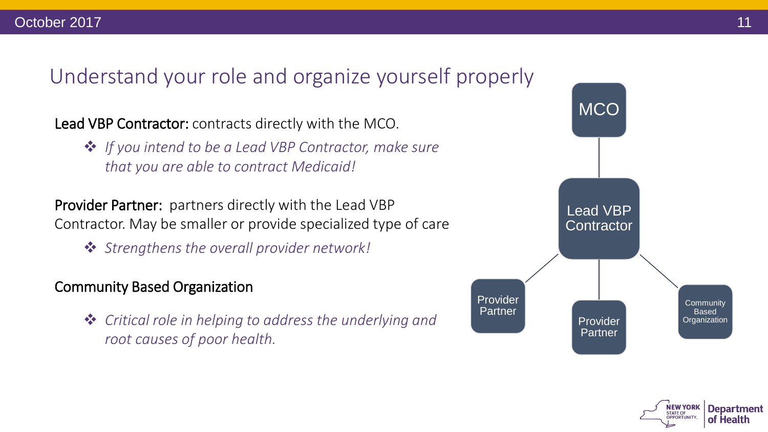#### Understand your role and organize yourself properly

Lead VBP Contractor: contracts directly with the MCO.

 *If you intend to be a Lead VBP Contractor, make sure that you are able to contract Medicaid!*

Provider Partner: partners directly with the Lead VBP Contractor. May be smaller or provide specialized type of care

*Strengthens the overall provider network!*

#### Community Based Organization

 *Critical role in helping to address the underlying and root causes of poor health.* 



**Department** 

of Health

**STATE OF**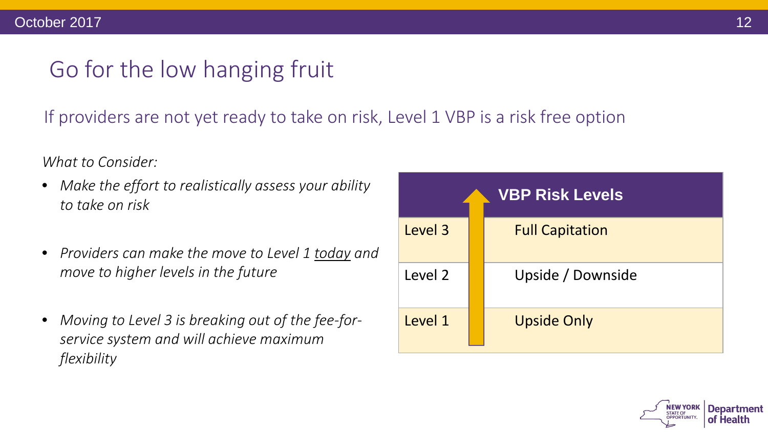## Go for the low hanging fruit

If providers are not yet ready to take on risk, Level 1 VBP is a risk free option

*What to Consider:*

- *Make the effort to realistically assess your ability to take on risk*
- *Providers can make the move to Level 1 today and move to higher levels in the future*
- *Moving to Level 3 is breaking out of the fee-forservice system and will achieve maximum flexibility*

| <b>VBP Risk Levels</b> |  |                        |  |
|------------------------|--|------------------------|--|
| Level 3                |  | <b>Full Capitation</b> |  |
| Level 2                |  | Upside / Downside      |  |
| Level 1                |  | <b>Upside Only</b>     |  |

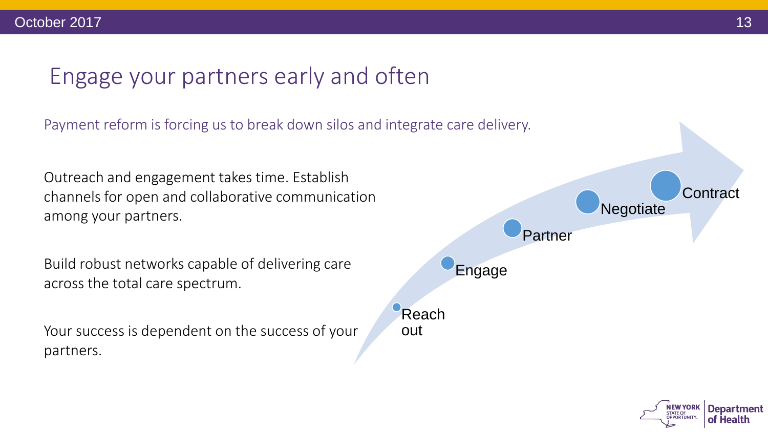#### Engage your partners early and often

Payment reform is forcing us to break down silos and integrate care delivery.

Outreach and engagement takes time. Establish channels for open and collaborative communication among your partners.

Build robust networks capable of delivering care across the total care spectrum.

Your success is dependent on the success of your partners.



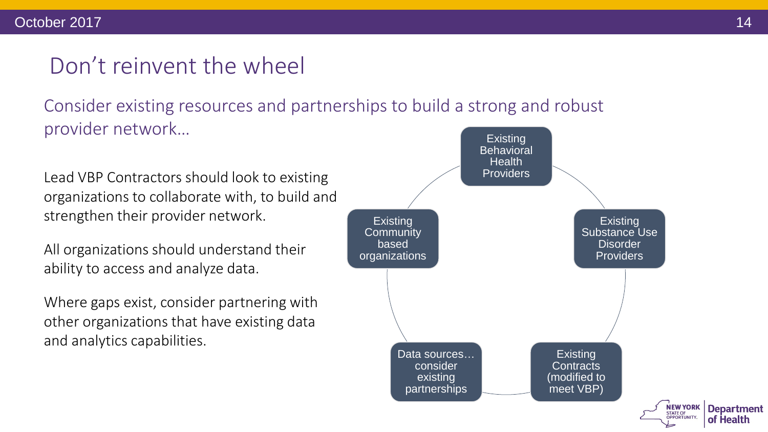#### Don't reinvent the wheel

Consider existing resources and partnerships to build a strong and robust provider network… existing

Lead VBP Contractors should look to existing organizations to collaborate with, to build and strengthen their provider network.

All organizations should understand their ability to access and analyze data.

Where gaps exist, consider partnering with other organizations that have existing data and analytics capabilities.



**Department** 

of Health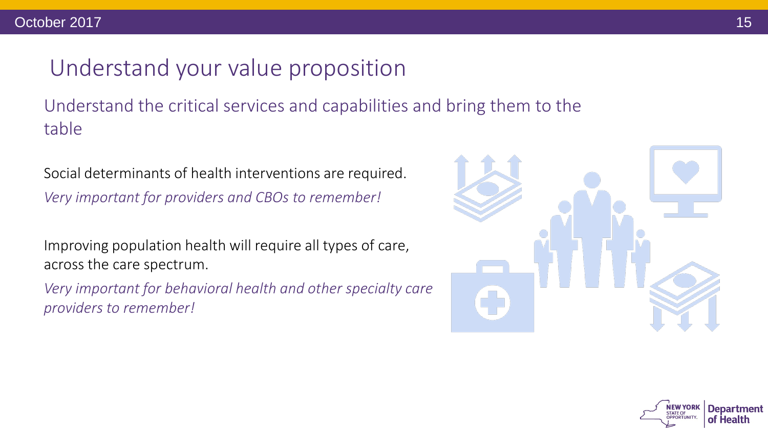#### Understand your value proposition

Understand the critical services and capabilities and bring them to the table

Social determinants of health interventions are required. *Very important for providers and CBOs to remember!*

Improving population health will require all types of care, across the care spectrum.

*Very important for behavioral health and other specialty care providers to remember!*



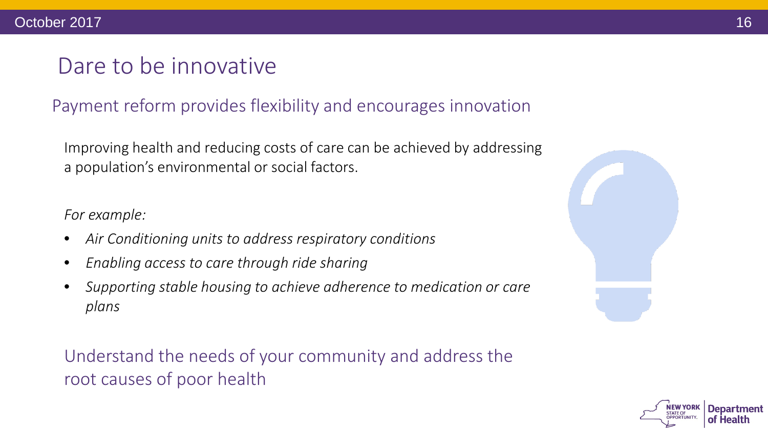#### Dare to be innovative

#### Payment reform provides flexibility and encourages innovation

Improving health and reducing costs of care can be achieved by addressing a population's environmental or social factors.

*For example:*

- *Air Conditioning units to address respiratory conditions*
- *Enabling access to care through ride sharing*
- *Supporting stable housing to achieve adherence to medication or care plans*

Understand the needs of your community and address the root causes of poor health



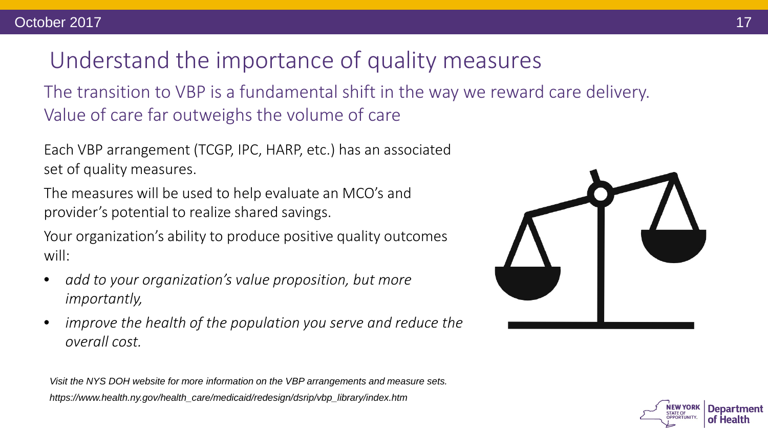# Understand the importance of quality measures

The transition to VBP is a fundamental shift in the way we reward care delivery. Value of care far outweighs the volume of care

Each VBP arrangement (TCGP, IPC, HARP, etc.) has an associated set of quality measures.

The measures will be used to help evaluate an MCO's and provider's potential to realize shared savings.

Your organization's ability to produce positive quality outcomes will:

- *add to your organization's value proposition, but more importantly,*
- *improve the health of the population you serve and reduce the overall cost.*

*Visit the NYS DOH website for more information on the VBP arrangements and measure sets. https://www.health.ny.gov/health\_care/medicaid/redesign/dsrip/vbp\_library/index.htm*



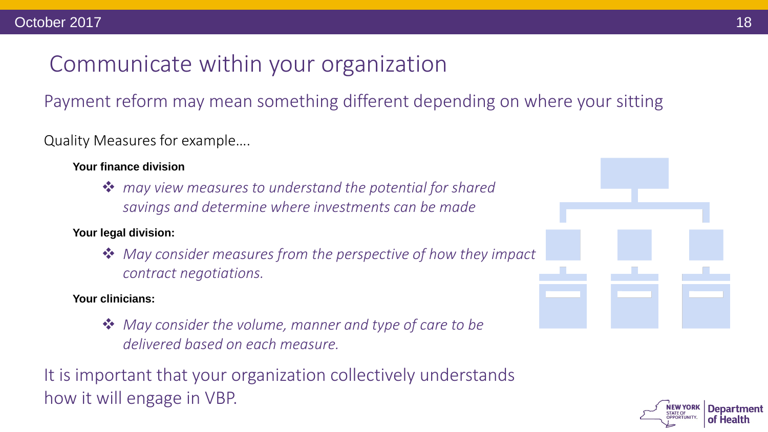#### Communicate within your organization

Payment reform may mean something different depending on where your sitting

Quality Measures for example….

**Your finance division** *may view measures to understand the potential for shared savings and determine where investments can be made*

#### **Your legal division:**

 *May consider measures from the perspective of how they impact contract negotiations.* 

#### **Your clinicians:**

 *May consider the volume, manner and type of care to be delivered based on each measure.*

It is important that your organization collectively understands how it will engage in VBP.





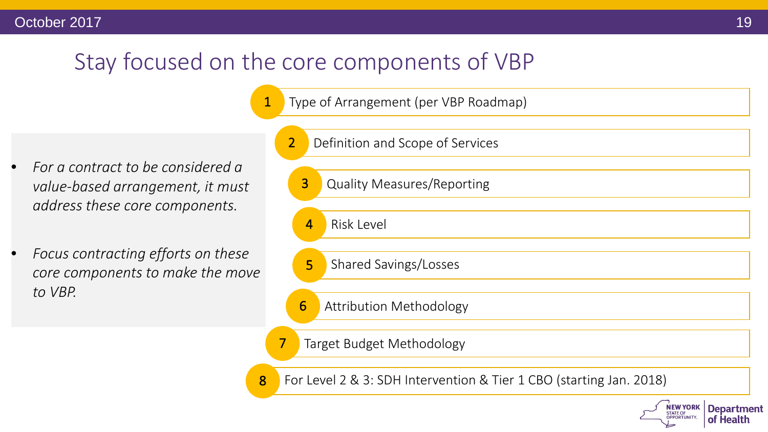#### Stay focused on the core components of VBP

Type of Arrangement (per VBP Roadmap)

- *For a contract to be considered a value-based arrangement, it must address these core components.*
- *Focus contracting efforts on these core components to make the move to VBP.*

|   | $\overline{2}$<br>Definition and Scope of Services                  |
|---|---------------------------------------------------------------------|
|   | $\overline{3}$<br><b>Quality Measures/Reporting</b>                 |
|   | $\overline{4}$<br><b>Risk Level</b>                                 |
|   | 5<br>Shared Savings/Losses                                          |
|   | 6<br><b>Attribution Methodology</b>                                 |
|   | 7<br>Target Budget Methodology                                      |
| 8 | For Level 2 & 3: SDH Intervention & Tier 1 CBO (starting Jan. 2018) |
|   |                                                                     |

**NEW YORK** 

**STATE OF OPPORTUNITY**  **Department** 

of Health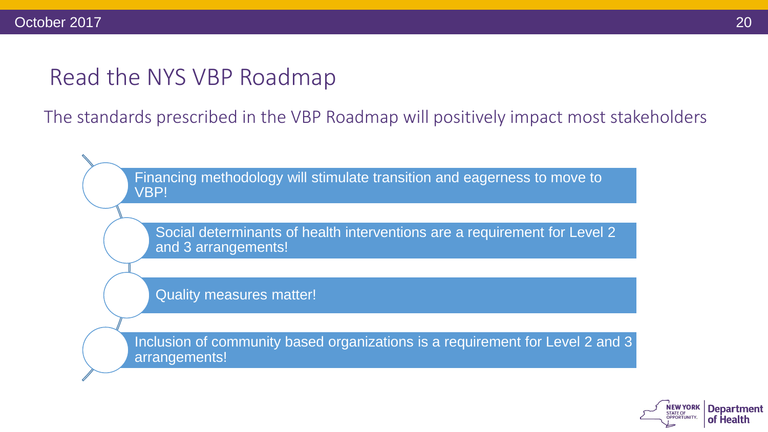#### Read the NYS VBP Roadmap

The standards prescribed in the VBP Roadmap will positively impact most stakeholders

Financing methodology will stimulate transition and eagerness to move to VBP!

Social determinants of health interventions are a requirement for Level 2 and 3 arrangements!

Quality measures matter!

Inclusion of community based organizations is a requirement for Level 2 and 3 arrangements!

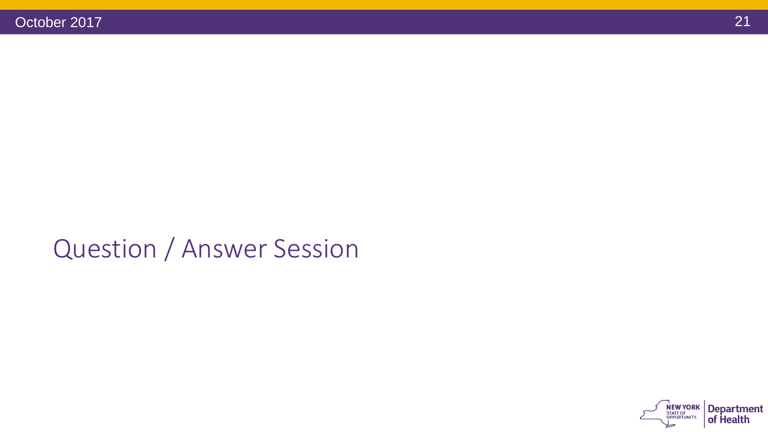## Question / Answer Session